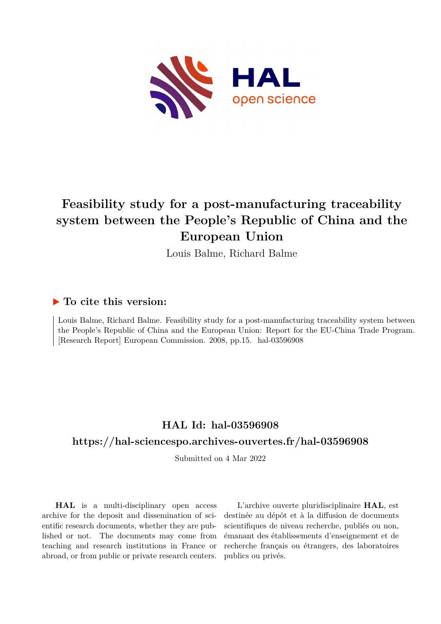

# **Feasibility study for a post-manufacturing traceability system between the People's Republic of China and the European Union**

Louis Balme, Richard Balme

#### **To cite this version:**

Louis Balme, Richard Balme. Feasibility study for a post-manufacturing traceability system between the People's Republic of China and the European Union: Report for the EU-China Trade Program. [Research Report] European Commission. 2008, pp.15. hal-03596908

## **HAL Id: hal-03596908**

#### **<https://hal-sciencespo.archives-ouvertes.fr/hal-03596908>**

Submitted on 4 Mar 2022

**HAL** is a multi-disciplinary open access archive for the deposit and dissemination of scientific research documents, whether they are published or not. The documents may come from teaching and research institutions in France or abroad, or from public or private research centers.

L'archive ouverte pluridisciplinaire **HAL**, est destinée au dépôt et à la diffusion de documents scientifiques de niveau recherche, publiés ou non, émanant des établissements d'enseignement et de recherche français ou étrangers, des laboratoires publics ou privés.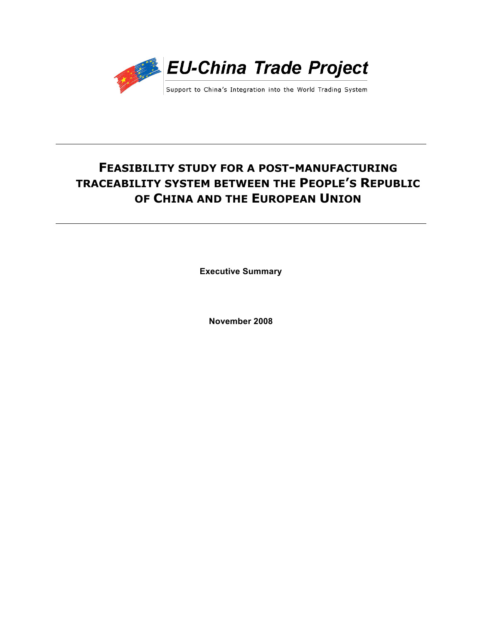

# **FEASIBILITY STUDY FOR A POST-MANUFACTURING TRACEABILITY SYSTEM BETWEEN THE PEOPLE'S REPUBLIC OF CHINA AND THE EUROPEAN UNION**

**Executive Summary**

**November 2008**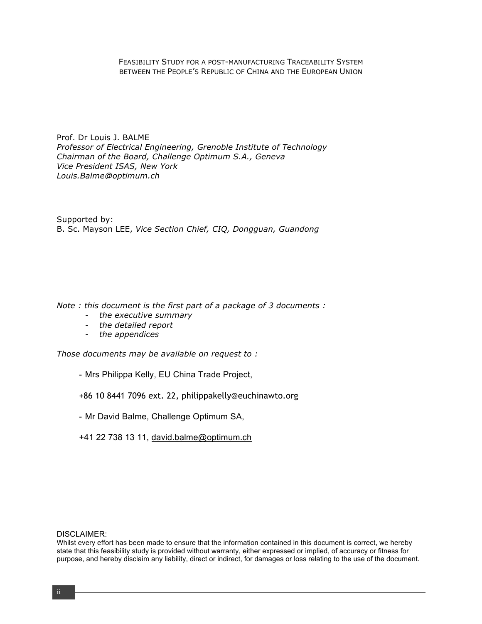FEASIBILITY STUDY FOR A POST-MANUFACTURING TRACEABILITY SYSTEM BETWEEN THE PEOPLE'S REPUBLIC OF CHINA AND THE EUROPEAN UNION

Prof. Dr Louis J. BALME *Professor of Electrical Engineering, Grenoble Institute of Technology Chairman of the Board, Challenge Optimum S.A., Geneva Vice President ISAS, New York Louis.Balme@optimum.ch*

Supported by: B. Sc. Mayson LEE, *Vice Section Chief, CIQ, Dongguan, Guandong*

*Note : this document is the first part of a package of 3 documents :*

- *the executive summary*
- *the detailed report*
- *the appendices*

*Those documents may be available on request to :*

- Mrs Philippa Kelly, EU China Trade Project,
- +86 10 8441 7096 ext. 22, philippakelly@euchinawto.org
- Mr David Balme, Challenge Optimum SA,
- +41 22 738 13 11, david.balme@optimum.ch

#### DISCLAIMER:

Whilst every effort has been made to ensure that the information contained in this document is correct, we hereby state that this feasibility study is provided without warranty, either expressed or implied, of accuracy or fitness for purpose, and hereby disclaim any liability, direct or indirect, for damages or loss relating to the use of the document.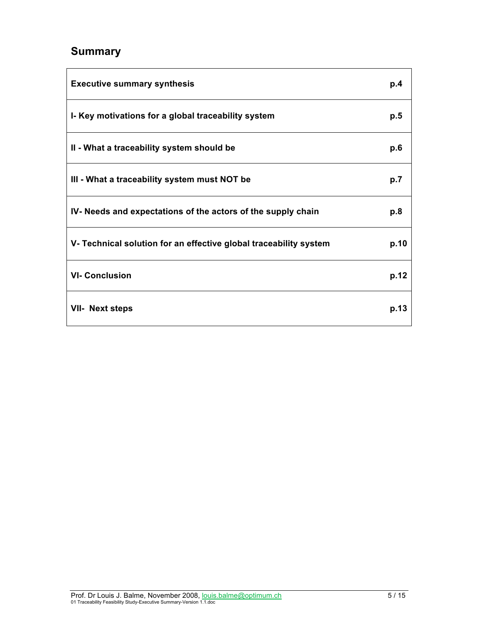# **Summary**

| <b>Executive summary synthesis</b>                                | p.4  |
|-------------------------------------------------------------------|------|
| I- Key motivations for a global traceability system               | p.5  |
| II - What a traceability system should be                         | p.6  |
| III - What a traceability system must NOT be                      | p.7  |
| IV- Needs and expectations of the actors of the supply chain      | p.8  |
| V- Technical solution for an effective global traceability system | p.10 |
| <b>VI- Conclusion</b>                                             | p.12 |
| <b>VII- Next steps</b>                                            | p.13 |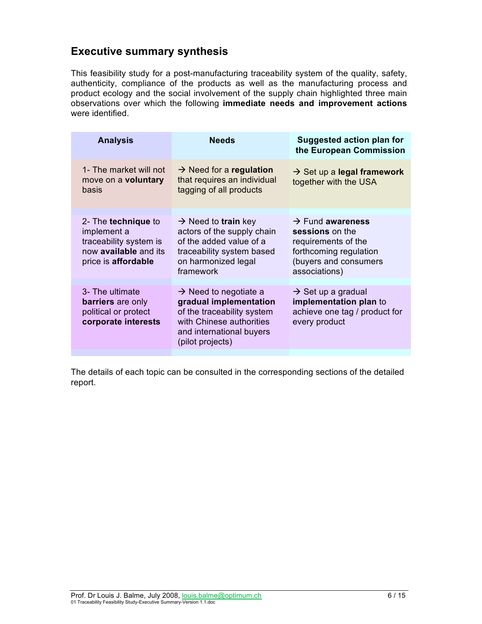## **Executive summary synthesis**

This feasibility study for a post-manufacturing traceability system of the quality, safety, authenticity, compliance of the products as well as the manufacturing process and product ecology and the social involvement of the supply chain highlighted three main observations over which the following **immediate needs and improvement actions**  were identified.

| <b>Analysis</b>                                                                                                     | <b>Needs</b>                                                                                                                                                          | <b>Suggested action plan for</b><br>the European Commission                                                                                |
|---------------------------------------------------------------------------------------------------------------------|-----------------------------------------------------------------------------------------------------------------------------------------------------------------------|--------------------------------------------------------------------------------------------------------------------------------------------|
| 1- The market will not<br>move on a voluntary<br>basis                                                              | $\rightarrow$ Need for a regulation<br>that requires an individual<br>tagging of all products                                                                         | $\rightarrow$ Set up a legal framework<br>together with the USA                                                                            |
| 2- The technique to<br>implement a<br>traceability system is<br>now <b>available</b> and its<br>price is affordable | $\rightarrow$ Need to train key<br>actors of the supply chain<br>of the added value of a<br>traceability system based<br>on harmonized legal<br>framework             | $\rightarrow$ Fund awareness<br>sessions on the<br>requirements of the<br>forthcoming regulation<br>(buyers and consumers<br>associations) |
| 3- The ultimate<br>barriers are only<br>political or protect<br>corporate interests                                 | $\rightarrow$ Need to negotiate a<br>gradual implementation<br>of the traceability system<br>with Chinese authorities<br>and international buyers<br>(pilot projects) | $\rightarrow$ Set up a gradual<br>implementation plan to<br>achieve one tag / product for<br>every product                                 |

The details of each topic can be consulted in the corresponding sections of the detailed report.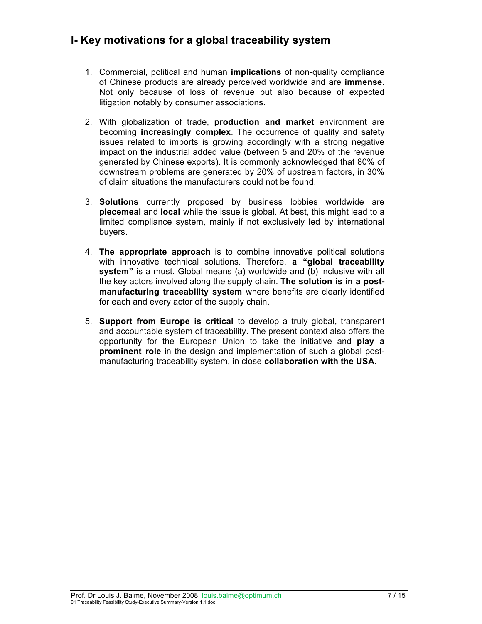## **I- Key motivations for a global traceability system**

- 1. Commercial, political and human **implications** of non-quality compliance of Chinese products are already perceived worldwide and are **immense.** Not only because of loss of revenue but also because of expected litigation notably by consumer associations.
- 2. With globalization of trade, **production and market** environment are becoming **increasingly complex**. The occurrence of quality and safety issues related to imports is growing accordingly with a strong negative impact on the industrial added value (between 5 and 20% of the revenue generated by Chinese exports). It is commonly acknowledged that 80% of downstream problems are generated by 20% of upstream factors, in 30% of claim situations the manufacturers could not be found.
- 3. **Solutions** currently proposed by business lobbies worldwide are **piecemeal** and **local** while the issue is global. At best, this might lead to a limited compliance system, mainly if not exclusively led by international buyers.
- 4. **The appropriate approach** is to combine innovative political solutions with innovative technical solutions. Therefore, **a "global traceability system"** is a must. Global means (a) worldwide and (b) inclusive with all the key actors involved along the supply chain. **The solution is in a postmanufacturing traceability system** where benefits are clearly identified for each and every actor of the supply chain.
- 5. **Support from Europe is critical** to develop a truly global, transparent and accountable system of traceability. The present context also offers the opportunity for the European Union to take the initiative and **play a prominent role** in the design and implementation of such a global postmanufacturing traceability system, in close **collaboration with the USA**.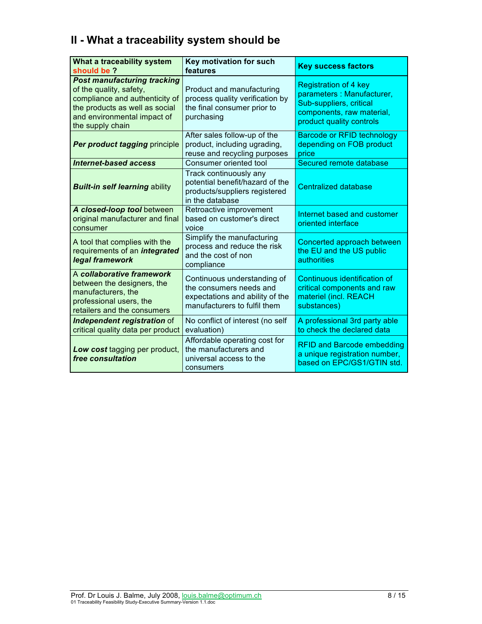# **II - What a traceability system should be**

| What a traceability system<br>should be?                                                                                                                                             | Key motivation for such<br>features                                                                                       | <b>Key success factors</b>                                                                                                                    |
|--------------------------------------------------------------------------------------------------------------------------------------------------------------------------------------|---------------------------------------------------------------------------------------------------------------------------|-----------------------------------------------------------------------------------------------------------------------------------------------|
| <b>Post manufacturing tracking</b><br>of the quality, safety,<br>compliance and authenticity of<br>the products as well as social<br>and environmental impact of<br>the supply chain | Product and manufacturing<br>process quality verification by<br>the final consumer prior to<br>purchasing                 | <b>Registration of 4 key</b><br>parameters: Manufacturer,<br>Sub-suppliers, critical<br>components, raw material,<br>product quality controls |
| Per product tagging principle                                                                                                                                                        | After sales follow-up of the<br>product, including ugrading,<br>reuse and recycling purposes                              | <b>Barcode or RFID technology</b><br>depending on FOB product<br>price                                                                        |
| <b>Internet-based access</b>                                                                                                                                                         | Consumer oriented tool                                                                                                    | Secured remote database                                                                                                                       |
| <b>Built-in self learning ability</b>                                                                                                                                                | Track continuously any<br>potential benefit/hazard of the<br>products/suppliers registered<br>in the database             | <b>Centralized database</b>                                                                                                                   |
| A closed-loop tool between<br>original manufacturer and final<br>consumer                                                                                                            | Retroactive improvement<br>based on customer's direct<br>voice                                                            | Internet based and customer<br>oriented interface                                                                                             |
| A tool that complies with the<br>requirements of an <i>integrated</i><br>legal framework                                                                                             | Simplify the manufacturing<br>process and reduce the risk<br>and the cost of non<br>compliance                            | Concerted approach between<br>the EU and the US public<br>authorities                                                                         |
| A collaborative framework<br>between the designers, the<br>manufacturers, the<br>professional users, the<br>retailers and the consumers                                              | Continuous understanding of<br>the consumers needs and<br>expectations and ability of the<br>manufacturers to fulfil them | Continuous identification of<br>critical components and raw<br>materiel (incl. REACH<br>substances)                                           |
| Independent registration of<br>critical quality data per product                                                                                                                     | No conflict of interest (no self<br>evaluation)                                                                           | A professional 3rd party able<br>to check the declared data                                                                                   |
| Low cost tagging per product,<br>free consultation                                                                                                                                   | Affordable operating cost for<br>the manufacturers and<br>universal access to the<br>consumers                            | <b>RFID and Barcode embedding</b><br>a unique registration number,<br>based on EPC/GS1/GTIN std.                                              |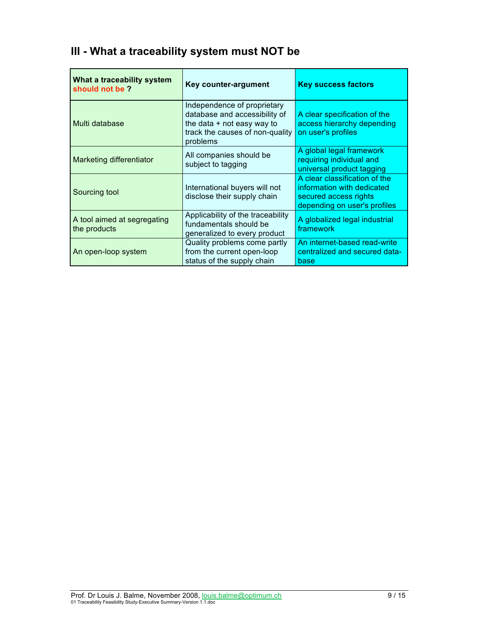| What a traceability system<br>should not be? | Key counter-argument                                                                                                                        | <b>Key success factors</b>                                                                                           |
|----------------------------------------------|---------------------------------------------------------------------------------------------------------------------------------------------|----------------------------------------------------------------------------------------------------------------------|
| Multi database                               | Independence of proprietary<br>database and accessibility of<br>the data $+$ not easy way to<br>track the causes of non-quality<br>problems | A clear specification of the<br>access hierarchy depending<br>on user's profiles                                     |
| Marketing differentiator                     | All companies should be<br>subject to tagging                                                                                               | A global legal framework<br>requiring individual and<br>universal product tagging                                    |
| Sourcing tool                                | International buyers will not<br>disclose their supply chain                                                                                | A clear classification of the<br>information with dedicated<br>secured access rights<br>depending on user's profiles |
| A tool aimed at segregating<br>the products  | Applicability of the traceability<br>fundamentals should be<br>generalized to every product                                                 | A globalized legal industrial<br>framework                                                                           |
| An open-loop system                          | Quality problems come partly<br>from the current open-loop<br>status of the supply chain                                                    | An internet-based read-write<br>centralized and secured data-<br>base                                                |

# **III - What a traceability system must NOT be**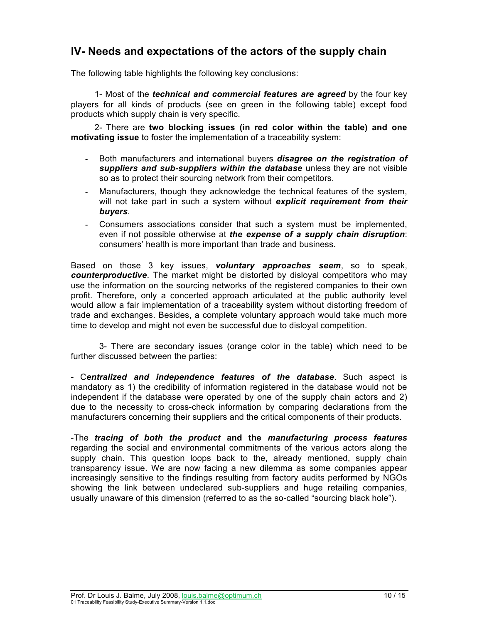## **IV- Needs and expectations of the actors of the supply chain**

The following table highlights the following key conclusions:

1- Most of the *technical and commercial features are agreed* by the four key players for all kinds of products (see en green in the following table) except food products which supply chain is very specific.

2- There are **two blocking issues (in red color within the table) and one motivating issue** to foster the implementation of a traceability system:

- Both manufacturers and international buyers *disagree on the registration of suppliers and sub-suppliers within the database* unless they are not visible so as to protect their sourcing network from their competitors.
- Manufacturers, though they acknowledge the technical features of the system, will not take part in such a system without *explicit requirement from their buyers*.
- Consumers associations consider that such a system must be implemented, even if not possible otherwise at *the expense of a supply chain disruption*: consumers' health is more important than trade and business.

Based on those 3 key issues, *voluntary approaches seem*, so to speak, *counterproductive*. The market might be distorted by disloyal competitors who may use the information on the sourcing networks of the registered companies to their own profit. Therefore, only a concerted approach articulated at the public authority level would allow a fair implementation of a traceability system without distorting freedom of trade and exchanges. Besides, a complete voluntary approach would take much more time to develop and might not even be successful due to disloyal competition.

3- There are secondary issues (orange color in the table) which need to be further discussed between the parties:

- C*entralized and independence features of the database*. Such aspect is mandatory as 1) the credibility of information registered in the database would not be independent if the database were operated by one of the supply chain actors and 2) due to the necessity to cross-check information by comparing declarations from the manufacturers concerning their suppliers and the critical components of their products.

-The *tracing of both the product* **and the** *manufacturing process features* regarding the social and environmental commitments of the various actors along the supply chain. This question loops back to the, already mentioned, supply chain transparency issue. We are now facing a new dilemma as some companies appear increasingly sensitive to the findings resulting from factory audits performed by NGOs showing the link between undeclared sub-suppliers and huge retailing companies, usually unaware of this dimension (referred to as the so-called "sourcing black hole").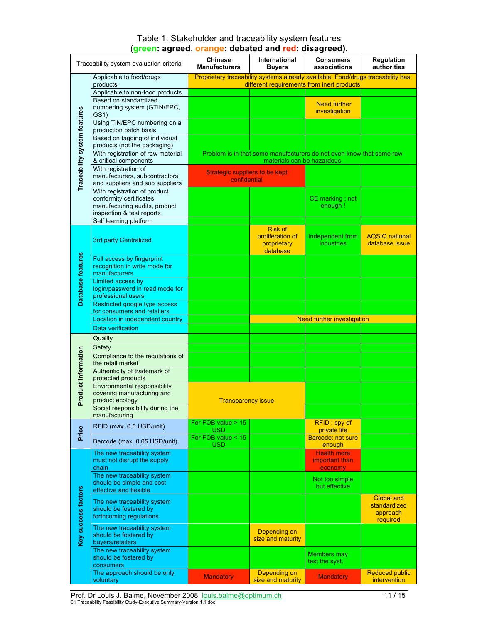#### Table 1: Stakeholder and traceability system features (**green: agreed**, **orange: debated and red: disagreed).**

|                              | Traceability system evaluation criteria                          | <b>Chinese</b><br><b>Manufacturers</b>                                                                                        | International<br><b>Buyers</b> | <b>Consumers</b><br>associations                                     | <b>Regulation</b><br>authorities |
|------------------------------|------------------------------------------------------------------|-------------------------------------------------------------------------------------------------------------------------------|--------------------------------|----------------------------------------------------------------------|----------------------------------|
|                              | Applicable to food/drugs<br>products                             | Proprietary traceability systems already available. Food/drugs traceability has<br>different requirements from inert products |                                |                                                                      |                                  |
|                              | Applicable to non-food products                                  |                                                                                                                               |                                |                                                                      |                                  |
|                              | Based on standardized                                            |                                                                                                                               |                                |                                                                      |                                  |
|                              | numbering system (GTIN/EPC,                                      |                                                                                                                               |                                | <b>Need further</b>                                                  |                                  |
|                              | GS1)                                                             |                                                                                                                               |                                | investigation                                                        |                                  |
|                              | Using TIN/EPC numbering on a                                     |                                                                                                                               |                                |                                                                      |                                  |
|                              | production batch basis                                           |                                                                                                                               |                                |                                                                      |                                  |
|                              | Based on tagging of individual                                   |                                                                                                                               |                                |                                                                      |                                  |
|                              | products (not the packaging)                                     |                                                                                                                               |                                |                                                                      |                                  |
| Traceability system features | With registration of raw material                                |                                                                                                                               |                                | Problem is in that some manufacturers do not even know that some raw |                                  |
|                              | & critical components                                            |                                                                                                                               | materials can be hazardous     |                                                                      |                                  |
|                              | With registration of                                             | <b>Strategic suppliers to be kept</b>                                                                                         |                                |                                                                      |                                  |
|                              | manufacturers, subcontractors<br>and suppliers and sub suppliers | confidential                                                                                                                  |                                |                                                                      |                                  |
|                              | With registration of product                                     |                                                                                                                               |                                |                                                                      |                                  |
|                              | conformity certificates,                                         |                                                                                                                               |                                | CE marking: not                                                      |                                  |
|                              | manufacturing audits, product                                    |                                                                                                                               |                                | enough !                                                             |                                  |
|                              | inspection & test reports                                        |                                                                                                                               |                                |                                                                      |                                  |
|                              | Self learning platform                                           |                                                                                                                               |                                |                                                                      |                                  |
|                              |                                                                  |                                                                                                                               | <b>Risk of</b>                 |                                                                      |                                  |
|                              | 3rd party Centralized                                            |                                                                                                                               | proliferation of               | Independent from                                                     | <b>AOSIO</b> national            |
|                              |                                                                  |                                                                                                                               | proprietary                    | <b>industries</b>                                                    | database issue                   |
|                              | Full access by fingerprint                                       |                                                                                                                               | database                       |                                                                      |                                  |
|                              | recognition in write mode for                                    |                                                                                                                               |                                |                                                                      |                                  |
| Database features            | manufacturers                                                    |                                                                                                                               |                                |                                                                      |                                  |
|                              | Limited access by                                                |                                                                                                                               |                                |                                                                      |                                  |
|                              | login/password in read mode for                                  |                                                                                                                               |                                |                                                                      |                                  |
|                              | professional users                                               |                                                                                                                               |                                |                                                                      |                                  |
|                              | Restricted google type access                                    |                                                                                                                               |                                |                                                                      |                                  |
|                              | for consumers and retailers                                      |                                                                                                                               |                                |                                                                      |                                  |
|                              | Location in independent country                                  |                                                                                                                               |                                | <b>Need further investigation</b>                                    |                                  |
|                              | Data verification                                                |                                                                                                                               |                                |                                                                      |                                  |
|                              | Quality                                                          |                                                                                                                               |                                |                                                                      |                                  |
|                              | Safety                                                           |                                                                                                                               |                                |                                                                      |                                  |
| Product information          | Compliance to the regulations of                                 |                                                                                                                               |                                |                                                                      |                                  |
|                              | the retail market<br>Authenticity of trademark of                |                                                                                                                               |                                |                                                                      |                                  |
|                              | protected products                                               |                                                                                                                               |                                |                                                                      |                                  |
|                              | <b>Environmental responsibility</b>                              |                                                                                                                               |                                |                                                                      |                                  |
|                              | covering manufacturing and                                       |                                                                                                                               |                                |                                                                      |                                  |
|                              | product ecology                                                  | <b>Transparency issue</b>                                                                                                     |                                |                                                                      |                                  |
|                              | Social responsibility during the                                 |                                                                                                                               |                                |                                                                      |                                  |
|                              | manufacturing                                                    |                                                                                                                               |                                |                                                                      |                                  |
|                              | RFID (max. 0.5 USD/unit)                                         | For FOB value $> 15$<br><b>USD</b>                                                                                            |                                | RFID: spy of<br>private life                                         |                                  |
| Price                        |                                                                  | For FOB value $<$ 15                                                                                                          |                                | <b>Barcode: not sure</b>                                             |                                  |
|                              | Barcode (max. 0.05 USD/unit)                                     | USD                                                                                                                           |                                | enough                                                               |                                  |
|                              | The new traceability system                                      |                                                                                                                               |                                | <b>Health more</b>                                                   |                                  |
|                              | must not disrupt the supply                                      |                                                                                                                               |                                | important than                                                       |                                  |
|                              | chain<br>The new traceability system                             |                                                                                                                               |                                | economy                                                              |                                  |
|                              | should be simple and cost                                        |                                                                                                                               |                                | Not too simple                                                       |                                  |
|                              | effective and flexible                                           |                                                                                                                               |                                | but effective                                                        |                                  |
|                              |                                                                  |                                                                                                                               |                                |                                                                      | <b>Global and</b>                |
|                              | The new traceability system<br>should be fostered by             |                                                                                                                               |                                |                                                                      | standardized                     |
| Key success factors          | forthcoming regulations                                          |                                                                                                                               |                                |                                                                      | approach                         |
|                              |                                                                  |                                                                                                                               |                                |                                                                      | required                         |
|                              | The new traceability system                                      |                                                                                                                               | Depending on                   |                                                                      |                                  |
|                              | should be fostered by<br>buyers/retailers                        |                                                                                                                               | size and maturity              |                                                                      |                                  |
|                              | The new traceability system                                      |                                                                                                                               |                                |                                                                      |                                  |
|                              | should be fostered by                                            |                                                                                                                               |                                | Members may                                                          |                                  |
|                              | consumers                                                        |                                                                                                                               |                                | test the syst.                                                       |                                  |
|                              | The approach should be only                                      | <b>Mandatory</b>                                                                                                              | Depending on                   | <b>Mandatory</b>                                                     | <b>Reduced public</b>            |
|                              | voluntary                                                        |                                                                                                                               | size and maturity              |                                                                      | intervention                     |

Prof. Dr Louis J. Balme, November 2008, <u>Iouis.balme@optimum.ch</u> 11 / 15<br>01 Traceability Feasibility Study-Executive Summary-Version 1.1.doc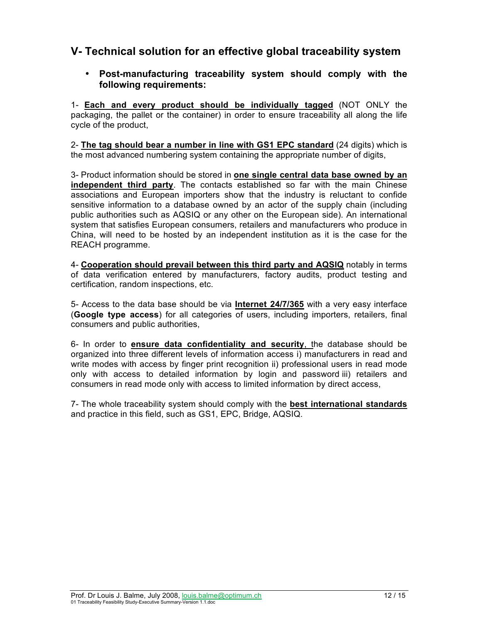## **V- Technical solution for an effective global traceability system**

#### • **Post-manufacturing traceability system should comply with the following requirements:**

1- **Each and every product should be individually tagged** (NOT ONLY the packaging, the pallet or the container) in order to ensure traceability all along the life cycle of the product,

2- **The tag should bear a number in line with GS1 EPC standard** (24 digits) which is the most advanced numbering system containing the appropriate number of digits,

3- Product information should be stored in **one single central data base owned by an independent third party**. The contacts established so far with the main Chinese associations and European importers show that the industry is reluctant to confide sensitive information to a database owned by an actor of the supply chain (including public authorities such as AQSIQ or any other on the European side). An international system that satisfies European consumers, retailers and manufacturers who produce in China, will need to be hosted by an independent institution as it is the case for the REACH programme.

4- **Cooperation should prevail between this third party and AQSIQ** notably in terms of data verification entered by manufacturers, factory audits, product testing and certification, random inspections, etc.

5- Access to the data base should be via **Internet 24/7/365** with a very easy interface (**Google type access**) for all categories of users, including importers, retailers, final consumers and public authorities,

6- In order to **ensure data confidentiality and security**, the database should be organized into three different levels of information access i) manufacturers in read and write modes with access by finger print recognition ii) professional users in read mode only with access to detailed information by login and password iii) retailers and consumers in read mode only with access to limited information by direct access,

7- The whole traceability system should comply with the **best international standards** and practice in this field, such as GS1, EPC, Bridge, AQSIQ.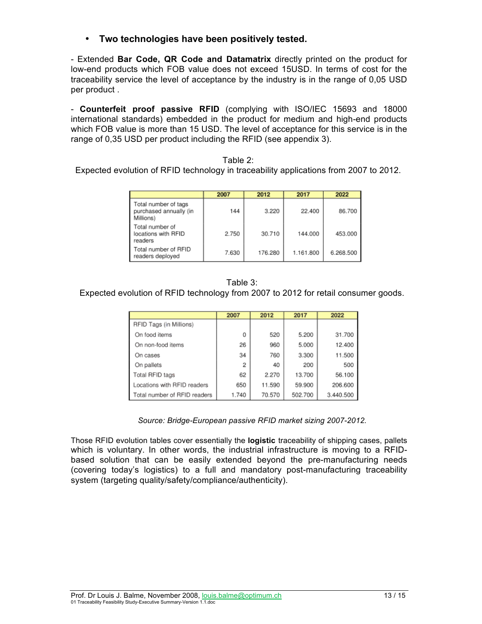• **Two technologies have been positively tested.** 

- Extended **Bar Code, QR Code and Datamatrix** directly printed on the product for low-end products which FOB value does not exceed 15USD. In terms of cost for the traceability service the level of acceptance by the industry is in the range of 0,05 USD per product .

- **Counterfeit proof passive RFID** (complying with ISO/IEC 15693 and 18000 international standards) embedded in the product for medium and high-end products which FOB value is more than 15 USD. The level of acceptance for this service is in the range of 0,35 USD per product including the RFID (see appendix 3).

|  | Table |  |
|--|-------|--|
|  |       |  |

Expected evolution of RFID technology in traceability applications from 2007 to 2012.

|                                                             | 2007  | 2012    | 2017      | 2022      |
|-------------------------------------------------------------|-------|---------|-----------|-----------|
| Total number of tags<br>purchased annually (in<br>Millions) | 144   | 3.220   | 22.400    | 86.700    |
| Total number of<br>locations with RFID<br>readers           | 2.750 | 30.710  | 144.000   | 453.000   |
| Total number of RFID<br>readers deployed                    | 7.630 | 176.280 | 1.161.800 | 6.268.500 |

#### Table 3:

Expected evolution of RFID technology from 2007 to 2012 for retail consumer goods.

|                              | 2007  | 2012   | 2017    | 2022      |
|------------------------------|-------|--------|---------|-----------|
| RFID Tags (in Millions)      |       |        |         |           |
| On food items                | 0     | 520    | 5.200   | 31.700    |
| On non-food items            | 26    | 960    | 5.000   | 12.400    |
| On cases                     | 34    | 760    | 3.300   | 11.500    |
| On pallets                   | 2     | 40     | 200     | 500       |
| Total RFID tags              | 62    | 2.270  | 13.700  | 56.100    |
| Locations with RFID readers  | 650   | 11.590 | 59.900  | 206.600   |
| Total number of RFID readers | 1.740 | 70.570 | 502.700 | 3.440.500 |

*Source: Bridge-European passive RFID market sizing 2007-2012.*

Those RFID evolution tables cover essentially the **logistic** traceability of shipping cases, pallets which is voluntary. In other words, the industrial infrastructure is moving to a RFIDbased solution that can be easily extended beyond the pre-manufacturing needs (covering today's logistics) to a full and mandatory post-manufacturing traceability system (targeting quality/safety/compliance/authenticity).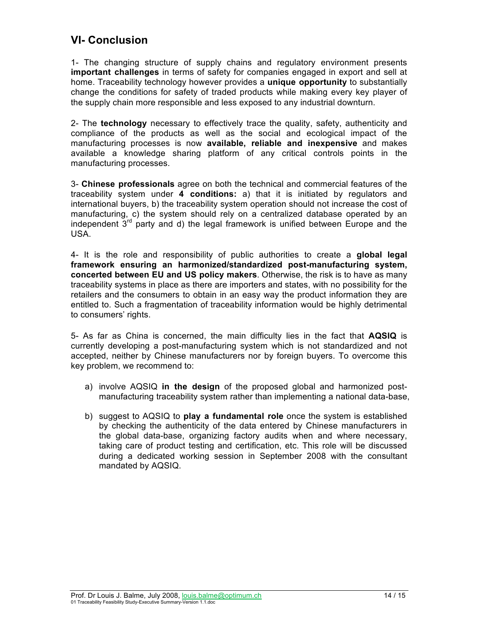## **VI- Conclusion**

1- The changing structure of supply chains and regulatory environment presents **important challenges** in terms of safety for companies engaged in export and sell at home. Traceability technology however provides a **unique opportunity** to substantially change the conditions for safety of traded products while making every key player of the supply chain more responsible and less exposed to any industrial downturn.

2- The **technology** necessary to effectively trace the quality, safety, authenticity and compliance of the products as well as the social and ecological impact of the manufacturing processes is now **available, reliable and inexpensive** and makes available a knowledge sharing platform of any critical controls points in the manufacturing processes.

3- **Chinese professionals** agree on both the technical and commercial features of the traceability system under **4 conditions:** a) that it is initiated by regulators and international buyers, b) the traceability system operation should not increase the cost of manufacturing, c) the system should rely on a centralized database operated by an independent  $3<sup>rd</sup>$  party and d) the legal framework is unified between Europe and the USA.

4- It is the role and responsibility of public authorities to create a **global legal framework ensuring an harmonized/standardized post-manufacturing system, concerted between EU and US policy makers**. Otherwise, the risk is to have as many traceability systems in place as there are importers and states, with no possibility for the retailers and the consumers to obtain in an easy way the product information they are entitled to. Such a fragmentation of traceability information would be highly detrimental to consumers' rights.

5- As far as China is concerned, the main difficulty lies in the fact that **AQSIQ** is currently developing a post-manufacturing system which is not standardized and not accepted, neither by Chinese manufacturers nor by foreign buyers. To overcome this key problem, we recommend to:

- a) involve AQSIQ **in the design** of the proposed global and harmonized postmanufacturing traceability system rather than implementing a national data-base,
- b) suggest to AQSIQ to **play a fundamental role** once the system is established by checking the authenticity of the data entered by Chinese manufacturers in the global data-base, organizing factory audits when and where necessary, taking care of product testing and certification, etc. This role will be discussed during a dedicated working session in September 2008 with the consultant mandated by AQSIQ.